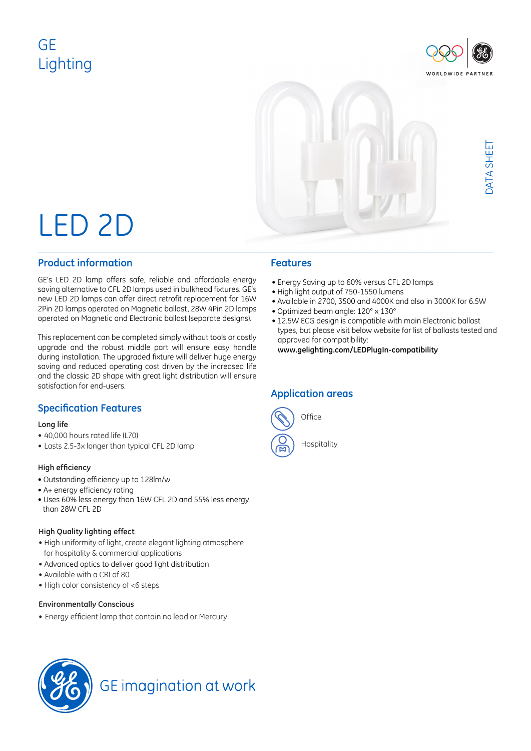## GE Lighting





# LED 2D

### **Product information**

GE's LED 2D lamp offers safe, reliable and affordable energy saving alternative to CFL 2D lamps used in bulkhead fixtures. GE's new LED 2D lamps can offer direct retrofit replacement for 16W 2Pin 2D lamps operated on Magnetic ballast, 28W 4Pin 2D lamps operated on Magnetic and Electronic ballast (separate designs).

This replacement can be completed simply without tools or costly upgrade and the robust middle part will ensure easy handle during installation. The upgraded fixture will deliver huge energy saving and reduced operating cost driven by the increased life and the classic 2D shape with great light distribution will ensure satisfaction for end-users.

### **Specification Features**

### **Long life**

- 40,000 hours rated life (L70)
- Lasts 2.5-3x longer than typical CFL 2D lamp

### **High efficiency**

- Outstanding efficiency up to 128lm/w
- A+ energy efficiency rating
- Uses 60% less energy than 16W CFL 2D and 55% less energy than 28W CFL 2D

### **High Quality lighting effect**

- High uniformity of light, create elegant lighting atmosphere for hospitality & commercial applications
- Advanced optics to deliver good light distribution
- Available with a CRI of 80
- High color consistency of <6 steps

### **Environmentally Conscious**

• Energy efficient lamp that contain no lead or Mercury

- Energy Saving up to 60% versus CFL 2D lamps
- High light output of 750-1550 lumens
- Available in 2700, 3500 and 4000K and also in 3000K for 6.5W
- Optimized beam angle: 120° x 130°
- 12.5W ECG design is compatible with main Electronic ballast types, but please visit below website for list of ballasts tested and approved for compatibility:

**www.gelighting.com/LEDPlugIn-compatibility**

### **Application areas**



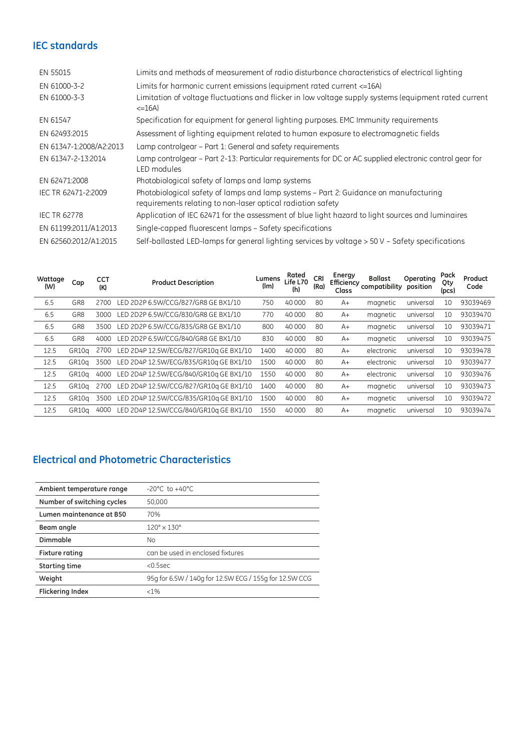### **IEC standards**

| EN 55015                | Limits and methods of measurement of radio disturbance characteristics of electrical lighting                                                       |
|-------------------------|-----------------------------------------------------------------------------------------------------------------------------------------------------|
| EN 61000-3-2            | Limits for harmonic current emissions (equipment rated current <= 16A)                                                                              |
| EN 61000-3-3            | Limitation of voltage fluctuations and flicker in low voltage supply systems (equipment rated current<br>$\leq$ =16A)                               |
| EN 61547                | Specification for equipment for general lighting purposes. EMC Immunity requirements                                                                |
| EN 62493:2015           | Assessment of lighting equipment related to human exposure to electromagnetic fields                                                                |
| EN 61347-1:2008/A2:2013 | Lamp controlgear – Part 1: General and safety requirements                                                                                          |
| EN 61347-2-13:2014      | Lamp controlgear – Part 2-13: Particular requirements for DC or AC supplied electronic control gear for<br>LED modules                              |
| EN 62471:2008           | Photobiological safety of lamps and lamp systems                                                                                                    |
| IEC TR 62471-2:2009     | Photobiological safety of lamps and lamp systems - Part 2: Guidance on manufacturing<br>requirements relating to non-laser optical radiation safety |
| <b>IEC TR 62778</b>     | Application of IEC 62471 for the assessment of blue light hazard to light sources and luminaires                                                    |
| EN 61199:2011/A1:2013   | Single-capped fluorescent lamps - Safety specifications                                                                                             |
| EN 62560:2012/A1:2015   | Self-ballasted LED-lamps for general lighting services by voltage > 50 V - Safety specifications                                                    |

| Wattage<br>(W) | Cap               | <b>CCT</b><br>(K) | <b>Product Description</b>             | Lumens<br>(lm) | Rated<br>Life L70<br>(h) | <b>CRI</b><br>(Ra) | Energy<br>Efficiency<br>Class | <b>Ballast</b><br>compatibility | Operating<br>position | Pack<br>Qty<br>(pcs) | Product<br>Code |
|----------------|-------------------|-------------------|----------------------------------------|----------------|--------------------------|--------------------|-------------------------------|---------------------------------|-----------------------|----------------------|-----------------|
| 6.5            | GR8               | 2700              | LED 2D2P 6.5W/CCG/827/GR8 GE BX1/10    | 750            | 40 000                   | 80                 | $A+$                          | magnetic                        | universal             | 10                   | 93039469        |
| 6.5            | GR8               | 3000              | LED 2D2P 6.5W/CCG/830/GR8 GE BX1/10    | 770            | 40 000                   | 80                 | $A+$                          | magnetic                        | universal             | 10                   | 93039470        |
| 6.5            | GR8               | 3500              | LED 2D2P 6.5W/CCG/835/GR8 GE BX1/10    | 800            | 40 000                   | 80                 | $A+$                          | magnetic                        | universal             | 10                   | 93039471        |
| 6.5            | GR <sub>8</sub>   | 4000              | LED 2D2P 6.5W/CCG/840/GR8 GE BX1/10    | 830            | 40 000                   | 80                 | $A+$                          | magnetic                        | universal             | 10                   | 93039475        |
| 12.5           | GR10a             | 2700              | LED 2D4P 12.5W/ECG/827/GR10g GE BX1/10 | 1400           | 40 000                   | 80                 | $A+$                          | electronic                      | universal             | 10                   | 93039478        |
| 12.5           | GR <sub>10a</sub> | 3500              | LED 2D4P 12.5W/ECG/835/GR10g GE BX1/10 | 1500           | 40 000                   | 80                 | $A+$                          | electronic                      | universal             | 10                   | 93039477        |
| 12.5           | GR10a             | 4000              | LED 2D4P 12.5W/ECG/840/GR10g GE BX1/10 | 1550           | 40 000                   | 80                 | $A+$                          | electronic                      | universal             | 10                   | 93039476        |
| 12.5           | GR10a             | 2700              | LED 2D4P 12.5W/CCG/827/GR10q GE BX1/10 | 1400           | 40 000                   | 80                 | $A+$                          | magnetic                        | universal             | 10                   | 93039473        |
| 12.5           | GR10g             | 3500              | LED 2D4P 12.5W/CCG/835/GR10g GE BX1/10 | 1500           | 40 000                   | 80                 | $A+$                          | magnetic                        | universal             | 10                   | 93039472        |
| 12.5           | GR10a             | 4000              | LED 2D4P 12.5W/CCG/840/GR10g GE BX1/10 | 1550           | 40 000                   | 80                 | $A+$                          | magnetic                        | universal             | 10                   | 93039474        |

### **Electrical and Photometric Characteristics**

| Ambient temperature range  | $-20^{\circ}$ C to $+40^{\circ}$ C                     |
|----------------------------|--------------------------------------------------------|
| Number of switching cycles | 50,000                                                 |
| Lumen maintenance at B50   | 70%                                                    |
| Beam angle                 | $120^{\circ} \times 130^{\circ}$                       |
| Dimmable                   | <b>No</b>                                              |
| <b>Fixture rating</b>      | can be used in enclosed fixtures                       |
| Starting time              | $< 0.5$ sec                                            |
| Weight                     | 95g for 6.5W / 140g for 12.5W ECG / 155g for 12.5W CCG |
| <b>Flickering Index</b>    | $< 1\%$                                                |